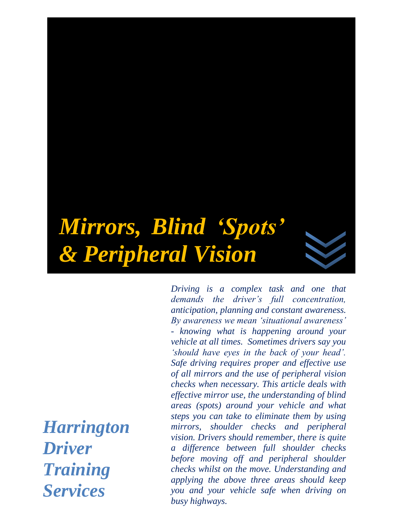# *Mirrors, Blind 'Spots' & Peripheral Vision*

*Harrington Driver Training Services*

*Driving is a complex task and one that demands the driver's full concentration, anticipation, planning and constant awareness. By awareness we mean 'situational awareness' - knowing what is happening around your vehicle at all times. Sometimes drivers say you 'should have eyes in the back of your head'. Safe driving requires proper and effective use of all mirrors and the use of peripheral vision checks when necessary. This article deals with effective mirror use, the understanding of blind areas (spots) around your vehicle and what steps you can take to eliminate them by using mirrors, shoulder checks and peripheral vision. Drivers should remember, there is quite a difference between full shoulder checks before moving off and peripheral shoulder checks whilst on the move. Understanding and applying the above three areas should keep you and your vehicle safe when driving on busy highways.*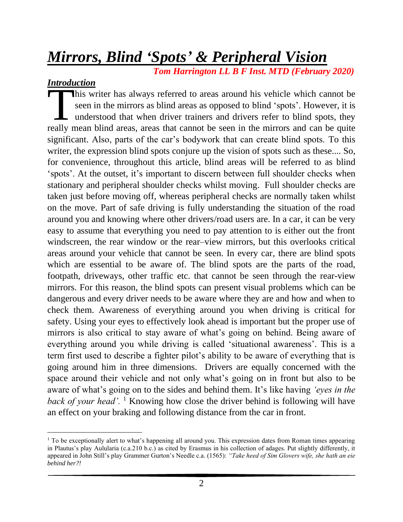# *Mirrors, Blind 'Spots' & Peripheral Vision*

 *Tom Harrington LL B F Inst. MTD (February 2020)*

# *Introduction*

his writer has always referred to areas around his vehicle which cannot be seen in the mirrors as blind areas as opposed to blind 'spots'. However, it is understood that when driver trainers and drivers refer to blind spots, they This writer has always referred to areas around his vehicle which cannot be seen in the mirrors as blind areas as opposed to blind 'spots'. However, it is understood that when driver trainers and drivers refer to blind spo significant. Also, parts of the car's bodywork that can create blind spots. To this writer, the expression blind spots conjure up the vision of spots such as these.... So, for convenience, throughout this article, blind areas will be referred to as blind 'spots'. At the outset, it's important to discern between full shoulder checks when stationary and peripheral shoulder checks whilst moving. Full shoulder checks are taken just before moving off, whereas peripheral checks are normally taken whilst on the move. Part of safe driving is fully understanding the situation of the road around you and knowing where other drivers/road users are. In a car, it can be very easy to assume that everything you need to pay attention to is either out the front windscreen, the rear window or the rear–view mirrors, but this overlooks critical areas around your vehicle that cannot be seen. In every car, there are blind spots which are essential to be aware of. The blind spots are the parts of the road, footpath, driveways, other traffic etc. that cannot be seen through the rear-view mirrors. For this reason, the blind spots can present visual problems which can be dangerous and every driver needs to be aware where they are and how and when to check them. Awareness of everything around you when driving is critical for safety. Using your eyes to effectively look ahead is important but the proper use of mirrors is also critical to stay aware of what's going on behind. Being aware of everything around you while driving is called 'situational awareness'. This is a term first used to describe a fighter pilot's ability to be aware of everything that is going around him in three dimensions. Drivers are equally concerned with the space around their vehicle and not only what's going on in front but also to be aware of what's going on to the sides and behind them. It's like having *'eyes in the back of your head'.* <sup>1</sup> Knowing how close the driver behind is following will have an effect on your braking and following distance from the car in front.

<sup>&</sup>lt;sup>1</sup> To be exceptionally alert to what's happening all around you. This expression dates from Roman times appearing in Plautus's play Aulularia (c.a.210 b.c.) as cited by Erasmus in his collection of adages. Put slightly differently, it appeared in John Still's play Grammer Gurton's Needle c.a. (1565): *"Take heed of Sim Glovers wife, she hath an eie behind her?!*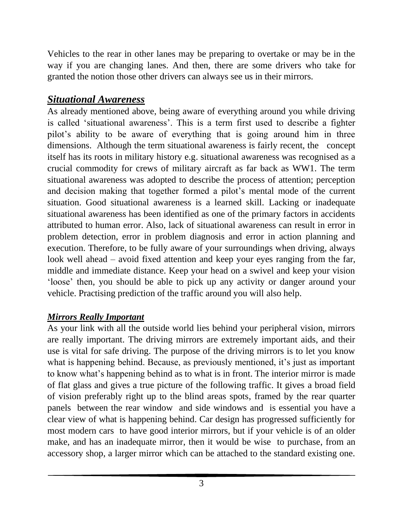Vehicles to the rear in other lanes may be preparing to overtake or may be in the way if you are changing lanes. And then, there are some drivers who take for granted the notion those other drivers can always see us in their mirrors.

# *Situational Awareness*

As already mentioned above, being aware of everything around you while driving is called 'situational awareness'. This is a term first used to describe a fighter pilot's ability to be aware of everything that is going around him in three dimensions. Although the term situational awareness is fairly recent, the concept itself has its roots in military history e.g. situational awareness was recognised as a crucial commodity for crews of military aircraft as far back as WW1. The term situational awareness was adopted to describe the process of attention; perception and decision making that together formed a pilot's mental mode of the current situation. Good situational awareness is a learned skill. Lacking or inadequate situational awareness has been identified as one of the primary factors in accidents attributed to human error. Also, lack of situational awareness can result in error in problem detection, error in problem diagnosis and error in action planning and execution. Therefore, to be fully aware of your surroundings when driving, always look well ahead – avoid fixed attention and keep your eyes ranging from the far, middle and immediate distance. Keep your head on a swivel and keep your vision 'loose' then, you should be able to pick up any activity or danger around your vehicle. Practising prediction of the traffic around you will also help.

# *Mirrors Really Important*

As your link with all the outside world lies behind your peripheral vision, mirrors are really important. The driving mirrors are extremely important aids, and their use is vital for safe driving. The purpose of the driving mirrors is to let you know what is happening behind. Because, as previously mentioned, it's just as important to know what's happening behind as to what is in front. The interior mirror is made of flat glass and gives a true picture of the following traffic. It gives a broad field of vision preferably right up to the blind areas spots, framed by the rear quarter panels between the rear window and side windows and is essential you have a clear view of what is happening behind. Car design has progressed sufficiently for most modern cars to have good interior mirrors, but if your vehicle is of an older make, and has an inadequate mirror, then it would be wise to purchase, from an accessory shop, a larger mirror which can be attached to the standard existing one.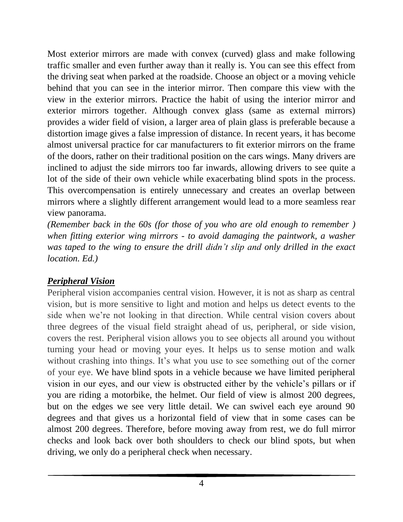Most exterior mirrors are made with convex (curved) glass and make following traffic smaller and even further away than it really is. You can see this effect from the driving seat when parked at the roadside. Choose an object or a moving vehicle behind that you can see in the interior mirror. Then compare this view with the view in the exterior mirrors. Practice the habit of using the interior mirror and exterior mirrors together. Although convex glass (same as external mirrors) provides a wider field of vision, a larger area of plain glass is preferable because a distortion image gives a false impression of distance. In recent years, it has become almost universal practice for car manufacturers to fit exterior mirrors on the frame of the doors, rather on their traditional position on the cars wings. Many drivers are inclined to adjust the side mirrors too far inwards, allowing drivers to see quite a lot of the side of their own vehicle while exacerbating blind spots in the process. This overcompensation is entirely unnecessary and creates an overlap between mirrors where a slightly different arrangement would lead to a more seamless rear view panorama.

*(Remember back in the 60s (for those of you who are old enough to remember ) when fitting exterior wing mirrors - to avoid damaging the paintwork, a washer was taped to the wing to ensure the drill didn't slip and only drilled in the exact location. Ed.)*

# *Peripheral Vision*

Peripheral vision accompanies central vision. However, it is not as sharp as central vision, but is more sensitive to light and motion and helps us detect events to the side when we're not looking in that direction. While central vision covers about three degrees of the visual field straight ahead of us, peripheral, or side vision, covers the rest. Peripheral vision allows you to see objects all around you without turning your head or moving your eyes. It helps us to sense motion and walk without crashing into things. It's what you use to see something out of the corner of your eye. We have blind spots in a vehicle because we have limited peripheral vision in our eyes, and our view is obstructed either by the vehicle's pillars or if you are riding a motorbike, the helmet. Our field of view is almost 200 degrees, but on the edges we see very little detail. We can swivel each eye around 90 degrees and that gives us a horizontal field of view that in some cases can be almost 200 degrees. Therefore, before moving away from rest, we do full mirror checks and look back over both shoulders to check our blind spots, but when driving, we only do a peripheral check when necessary.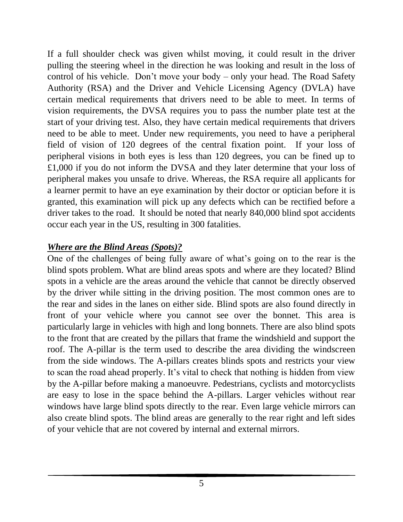If a full shoulder check was given whilst moving, it could result in the driver pulling the steering wheel in the direction he was looking and result in the loss of control of his vehicle. Don't move your body – only your head. The Road Safety Authority (RSA) and the Driver and Vehicle Licensing Agency (DVLA) have certain medical requirements that drivers need to be able to meet. In terms of vision requirements, the DVSA requires you to pass the number plate test at the start of your driving test. Also, they have certain medical requirements that drivers need to be able to meet. Under new requirements, you need to have a peripheral field of vision of 120 degrees of the central fixation point. If your loss of peripheral visions in both eyes is less than 120 degrees, you can be fined up to £1,000 if you do not inform the DVSA and they later determine that your loss of peripheral makes you unsafe to drive. Whereas, the RSA require all applicants for a learner permit to have an eye examination by their doctor or optician before it is granted, this examination will pick up any defects which can be rectified before a driver takes to the road. It should be noted that nearly 840,000 blind spot accidents occur each year in the US, resulting in 300 fatalities.

#### *Where are the Blind Areas (Spots)?*

One of the challenges of being fully aware of what's going on to the rear is the blind spots problem. What are blind areas spots and where are they located? Blind spots in a vehicle are the areas around the vehicle that cannot be directly observed by the driver while sitting in the driving position. The most common ones are to the rear and sides in the lanes on either side. Blind spots are also found directly in front of your vehicle where you cannot see over the bonnet. This area is particularly large in vehicles with high and long bonnets. There are also blind spots to the front that are created by the pillars that frame the windshield and support the roof. The A-pillar is the term used to describe the area dividing the windscreen from the side windows. The A-pillars creates blinds spots and restricts your view to scan the road ahead properly. It's vital to check that nothing is hidden from view by the A-pillar before making a manoeuvre. Pedestrians, cyclists and motorcyclists are easy to lose in the space behind the A-pillars. Larger vehicles without rear windows have large blind spots directly to the rear. Even large vehicle mirrors can also create blind spots. The blind areas are generally to the rear right and left sides of your vehicle that are not covered by internal and external mirrors.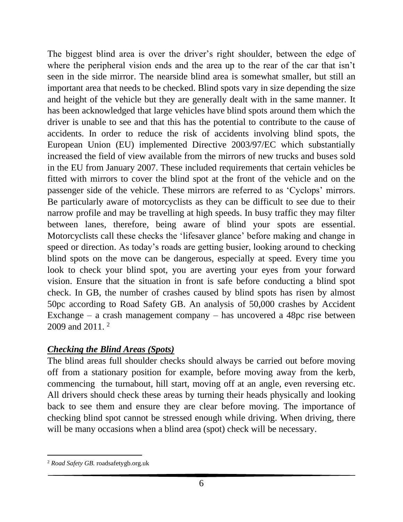The biggest blind area is over the driver's right shoulder, between the edge of where the peripheral vision ends and the area up to the rear of the car that isn't seen in the side mirror. The nearside blind area is somewhat smaller, but still an important area that needs to be checked. Blind spots vary in size depending the size and height of the vehicle but they are generally dealt with in the same manner. It has been acknowledged that large vehicles have blind spots around them which the driver is unable to see and that this has the potential to contribute to the cause of accidents. In order to reduce the risk of accidents involving blind spots, the European Union (EU) implemented Directive 2003/97/EC which substantially increased the field of view available from the mirrors of new trucks and buses sold in the EU from January 2007. These included requirements that certain vehicles be fitted with mirrors to cover the blind spot at the front of the vehicle and on the passenger side of the vehicle. These mirrors are referred to as 'Cyclops' mirrors. Be particularly aware of motorcyclists as they can be difficult to see due to their narrow profile and may be travelling at high speeds. In busy traffic they may filter between lanes, therefore, being aware of blind your spots are essential. Motorcyclists call these checks the 'lifesaver glance' before making and change in speed or direction. As today's roads are getting busier, looking around to checking blind spots on the move can be dangerous, especially at speed. Every time you look to check your blind spot, you are averting your eyes from your forward vision. Ensure that the situation in front is safe before conducting a blind spot check. In GB, the number of crashes caused by blind spots has risen by almost 50pc according to Road Safety GB. An analysis of 50,000 crashes by Accident Exchange – a crash management company – has uncovered a 48pc rise between 2009 and 2011. <sup>2</sup>

#### *Checking the Blind Areas (Spots)*

The blind areas full shoulder checks should always be carried out before moving off from a stationary position for example, before moving away from the kerb, commencing the turnabout, hill start, moving off at an angle, even reversing etc. All drivers should check these areas by turning their heads physically and looking back to see them and ensure they are clear before moving. The importance of checking blind spot cannot be stressed enough while driving. When driving, there will be many occasions when a blind area (spot) check will be necessary.

<sup>2</sup> *Road Safety GB.* roadsafetygb.org.uk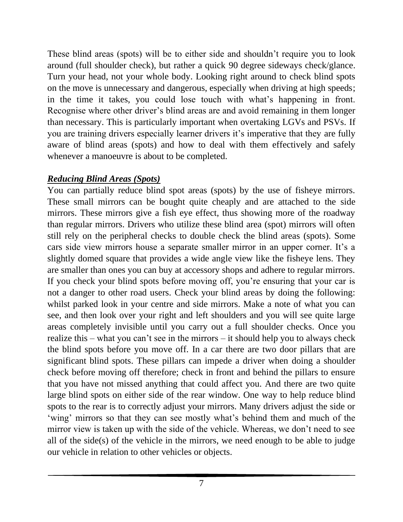These blind areas (spots) will be to either side and shouldn't require you to look around (full shoulder check), but rather a quick 90 degree sideways check/glance. Turn your head, not your whole body. Looking right around to check blind spots on the move is unnecessary and dangerous, especially when driving at high speeds; in the time it takes, you could lose touch with what's happening in front. Recognise where other driver's blind areas are and avoid remaining in them longer than necessary. This is particularly important when overtaking LGVs and PSVs. If you are training drivers especially learner drivers it's imperative that they are fully aware of blind areas (spots) and how to deal with them effectively and safely whenever a manoeuvre is about to be completed.

#### *Reducing Blind Areas (Spots)*

You can partially reduce blind spot areas (spots) by the use of fisheye mirrors. These small mirrors can be bought quite cheaply and are attached to the side mirrors. These mirrors give a fish eye effect, thus showing more of the roadway than regular mirrors. Drivers who utilize these blind area (spot) mirrors will often still rely on the peripheral checks to double check the blind areas (spots). Some cars side view mirrors house a separate smaller mirror in an upper corner. It's a slightly domed square that provides a wide angle view like the fisheye lens. They are smaller than ones you can buy at accessory shops and adhere to regular mirrors. If you check your blind spots before moving off, you're ensuring that your car is not a danger to other road users. Check your blind areas by doing the following: whilst parked look in your centre and side mirrors. Make a note of what you can see, and then look over your right and left shoulders and you will see quite large areas completely invisible until you carry out a full shoulder checks. Once you realize this – what you can't see in the mirrors – it should help you to always check the blind spots before you move off. In a car there are two door pillars that are significant blind spots. These pillars can impede a driver when doing a shoulder check before moving off therefore; check in front and behind the pillars to ensure that you have not missed anything that could affect you. And there are two quite large blind spots on either side of the rear window. One way to help reduce blind spots to the rear is to correctly adjust your mirrors. Many drivers adjust the side or 'wing' mirrors so that they can see mostly what's behind them and much of the mirror view is taken up with the side of the vehicle. Whereas, we don't need to see all of the side(s) of the vehicle in the mirrors, we need enough to be able to judge our vehicle in relation to other vehicles or objects.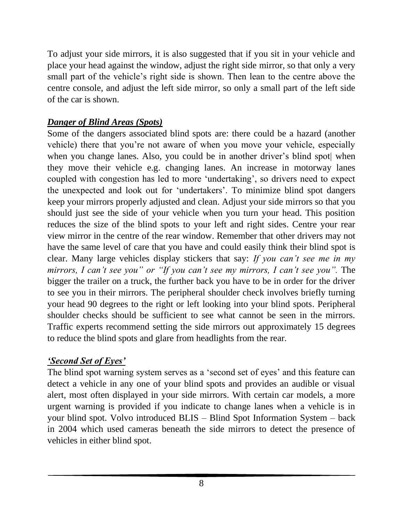To adjust your side mirrors, it is also suggested that if you sit in your vehicle and place your head against the window, adjust the right side mirror, so that only a very small part of the vehicle's right side is shown. Then lean to the centre above the centre console, and adjust the left side mirror, so only a small part of the left side of the car is shown.

# *Danger of Blind Areas (Spots)*

Some of the dangers associated blind spots are: there could be a hazard (another vehicle) there that you're not aware of when you move your vehicle, especially when you change lanes. Also, you could be in another driver's blind spot when they move their vehicle e.g. changing lanes. An increase in motorway lanes coupled with congestion has led to more 'undertaking', so drivers need to expect the unexpected and look out for 'undertakers'. To minimize blind spot dangers keep your mirrors properly adjusted and clean. Adjust your side mirrors so that you should just see the side of your vehicle when you turn your head. This position reduces the size of the blind spots to your left and right sides. Centre your rear view mirror in the centre of the rear window. Remember that other drivers may not have the same level of care that you have and could easily think their blind spot is clear. Many large vehicles display stickers that say: *If you can't see me in my mirrors, I can't see you" or "If you can't see my mirrors, I can't see you".* The bigger the trailer on a truck, the further back you have to be in order for the driver to see you in their mirrors. The peripheral shoulder check involves briefly turning your head 90 degrees to the right or left looking into your blind spots. Peripheral shoulder checks should be sufficient to see what cannot be seen in the mirrors. Traffic experts recommend setting the side mirrors out approximately 15 degrees to reduce the blind spots and glare from headlights from the rear.

# *'Second Set of Eyes'*

The blind spot warning system serves as a 'second set of eyes' and this feature can detect a vehicle in any one of your blind spots and provides an audible or visual alert, most often displayed in your side mirrors. With certain car models, a more urgent warning is provided if you indicate to change lanes when a vehicle is in your blind spot. Volvo introduced BLIS – Blind Spot Information System – back in 2004 which used cameras beneath the side mirrors to detect the presence of vehicles in either blind spot.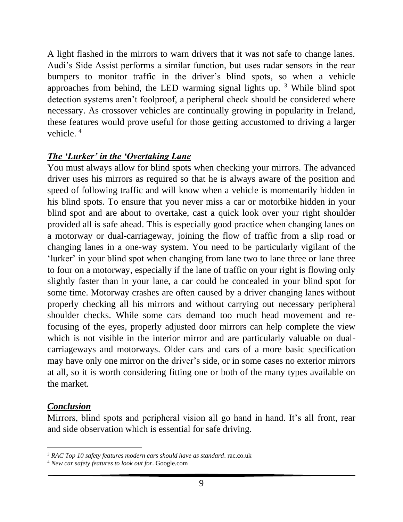A light flashed in the mirrors to warn drivers that it was not safe to change lanes. Audi's Side Assist performs a similar function, but uses radar sensors in the rear bumpers to monitor traffic in the driver's blind spots, so when a vehicle approaches from behind, the LED warming signal lights up.<sup>3</sup> While blind spot detection systems aren't foolproof, a peripheral check should be considered where necessary. As crossover vehicles are continually growing in popularity in Ireland, these features would prove useful for those getting accustomed to driving a larger vehicle. <sup>4</sup>

#### *The 'Lurker' in the 'Overtaking Lane*

You must always allow for blind spots when checking your mirrors. The advanced driver uses his mirrors as required so that he is always aware of the position and speed of following traffic and will know when a vehicle is momentarily hidden in his blind spots. To ensure that you never miss a car or motorbike hidden in your blind spot and are about to overtake, cast a quick look over your right shoulder provided all is safe ahead. This is especially good practice when changing lanes on a motorway or dual-carriageway, joining the flow of traffic from a slip road or changing lanes in a one-way system. You need to be particularly vigilant of the 'lurker' in your blind spot when changing from lane two to lane three or lane three to four on a motorway, especially if the lane of traffic on your right is flowing only slightly faster than in your lane, a car could be concealed in your blind spot for some time. Motorway crashes are often caused by a driver changing lanes without properly checking all his mirrors and without carrying out necessary peripheral shoulder checks. While some cars demand too much head movement and refocusing of the eyes, properly adjusted door mirrors can help complete the view which is not visible in the interior mirror and are particularly valuable on dualcarriageways and motorways. Older cars and cars of a more basic specification may have only one mirror on the driver's side, or in some cases no exterior mirrors at all, so it is worth considering fitting one or both of the many types available on the market.

#### *Conclusion*

Mirrors, blind spots and peripheral vision all go hand in hand. It's all front, rear and side observation which is essential for safe driving.

<sup>3</sup> *RAC Top 10 safety features modern cars should have as standard*. rac.co.uk

<sup>4</sup> *New car safety features to look out for*. Google.com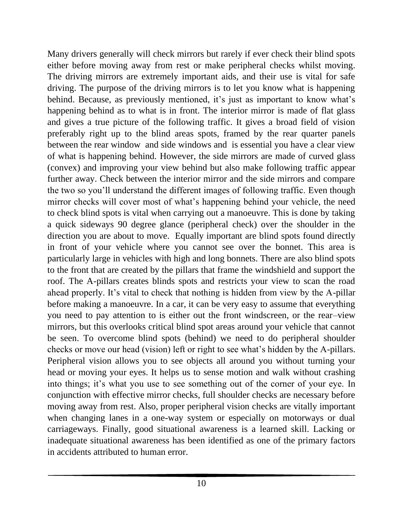Many drivers generally will check mirrors but rarely if ever check their blind spots either before moving away from rest or make peripheral checks whilst moving. The driving mirrors are extremely important aids, and their use is vital for safe driving. The purpose of the driving mirrors is to let you know what is happening behind. Because, as previously mentioned, it's just as important to know what's happening behind as to what is in front. The interior mirror is made of flat glass and gives a true picture of the following traffic. It gives a broad field of vision preferably right up to the blind areas spots, framed by the rear quarter panels between the rear window and side windows and is essential you have a clear view of what is happening behind. However, the side mirrors are made of curved glass (convex) and improving your view behind but also make following traffic appear further away. Check between the interior mirror and the side mirrors and compare the two so you'll understand the different images of following traffic. Even though mirror checks will cover most of what's happening behind your vehicle, the need to check blind spots is vital when carrying out a manoeuvre. This is done by taking a quick sideways 90 degree glance (peripheral check) over the shoulder in the direction you are about to move. Equally important are blind spots found directly in front of your vehicle where you cannot see over the bonnet. This area is particularly large in vehicles with high and long bonnets. There are also blind spots to the front that are created by the pillars that frame the windshield and support the roof. The A-pillars creates blinds spots and restricts your view to scan the road ahead properly. It's vital to check that nothing is hidden from view by the A-pillar before making a manoeuvre. In a car, it can be very easy to assume that everything you need to pay attention to is either out the front windscreen, or the rear–view mirrors, but this overlooks critical blind spot areas around your vehicle that cannot be seen. To overcome blind spots (behind) we need to do peripheral shoulder checks or move our head (vision) left or right to see what's hidden by the A-pillars. Peripheral vision allows you to see objects all around you without turning your head or moving your eyes. It helps us to sense motion and walk without crashing into things; it's what you use to see something out of the corner of your eye. In conjunction with effective mirror checks, full shoulder checks are necessary before moving away from rest. Also, proper peripheral vision checks are vitally important when changing lanes in a one-way system or especially on motorways or dual carriageways. Finally, good situational awareness is a learned skill. Lacking or inadequate situational awareness has been identified as one of the primary factors in accidents attributed to human error.